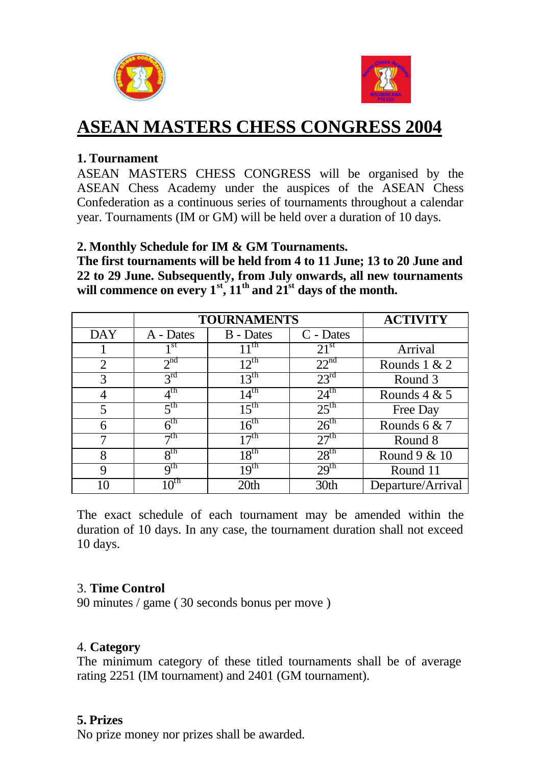



# **ASEAN MASTERS CHESS CONGRESS 2004**

### **1. Tournament**

ASEAN MASTERS CHESS CONGRESS will be organised by the ASEAN Chess Academy under the auspices of the ASEAN Chess Confederation as a continuous series of tournaments throughout a calendar year. Tournaments (IM or GM) will be held over a duration of 10 days.

#### **2. Monthly Schedule for IM & GM Tournaments.**

**The first tournaments will be held from 4 to 11 June; 13 to 20 June and 22 to 29 June. Subsequently, from July onwards, all new tournaments**  will commence on every  $1^{st}$ ,  $11^{th}$  and  $21^{st}$  days of the month.

|            | <b>TOURNAMENTS</b> |                  |                  | <b>ACTIVITY</b>   |
|------------|--------------------|------------------|------------------|-------------------|
| <b>DAY</b> | A - Dates          | <b>B</b> - Dates | C - Dates        |                   |
|            | 1 st               | $11^{\text{th}}$ | $21^{\rm st}$    | Arrival           |
| 2          | 2 <sup>nd</sup>    | $12^{th}$        | 22 <sup>nd</sup> | Rounds $1 & 2$    |
| 3          | 3 <sup>rd</sup>    | $13^{\text{th}}$ | $23^{\rm rd}$    | Round 3           |
|            | $4^{\text{th}}$    | $14^{\text{th}}$ | $24^{\text{th}}$ | Rounds $4 & 5$    |
| 5          | 5 <sup>th</sup>    | 15 <sup>th</sup> | $25^{\text{th}}$ | Free Day          |
| 6          | 6 <sup>th</sup>    | $16^{th}$        | $26^{\text{th}}$ | Rounds $6 & 7$    |
|            | $\neg$ th          | $17^{\text{th}}$ | 27 <sup>th</sup> | Round 8           |
| 8          | 8 <sup>th</sup>    | $18^{th}$        | 28 <sup>th</sup> | Round $9 & 10$    |
| 9          | q <sup>th</sup>    | 19 <sup>th</sup> | 29 <sup>th</sup> | Round 11          |
| 10         | $10^{th}$          | 20 <sub>th</sub> | 30th             | Departure/Arrival |

The exact schedule of each tournament may be amended within the duration of 10 days. In any case, the tournament duration shall not exceed 10 days.

#### 3. **Time Control**

90 minutes / game ( 30 seconds bonus per move )

#### 4. **Category**

The minimum category of these titled tournaments shall be of average rating 2251 (IM tournament) and 2401 (GM tournament).

#### **5. Prizes**

No prize money nor prizes shall be awarded.